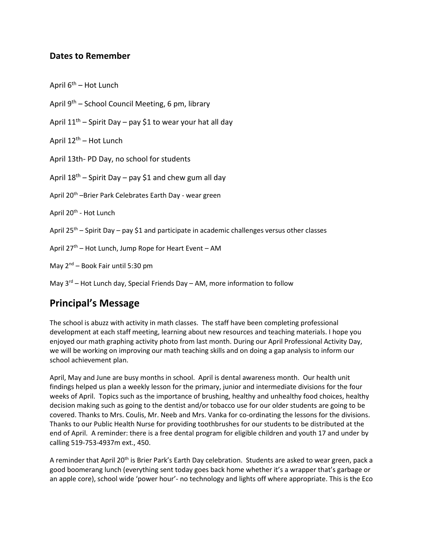## **Dates to Remember**

April  $6^{th}$  – Hot Lunch

- April 9th School Council Meeting, 6 pm, library
- April  $11^{th}$  Spirit Day pay \$1 to wear your hat all day
- April  $12<sup>th</sup>$  Hot Lunch
- April 13th- PD Day, no school for students

April  $18^{th}$  – Spirit Day – pay \$1 and chew gum all day

- April 20<sup>th</sup> –Brier Park Celebrates Earth Day wear green
- April 20<sup>th</sup> Hot Lunch
- April 25<sup>th</sup> Spirit Day pay \$1 and participate in academic challenges versus other classes
- April  $27<sup>th</sup>$  Hot Lunch, Jump Rope for Heart Event AM
- May  $2^{nd}$  Book Fair until 5:30 pm

May  $3<sup>rd</sup>$  – Hot Lunch day, Special Friends Day – AM, more information to follow

## **Principal's Message**

The school is abuzz with activity in math classes. The staff have been completing professional development at each staff meeting, learning about new resources and teaching materials. I hope you enjoyed our math graphing activity photo from last month. During our April Professional Activity Day, we will be working on improving our math teaching skills and on doing a gap analysis to inform our school achievement plan.

April, May and June are busy months in school. April is dental awareness month. Our health unit findings helped us plan a weekly lesson for the primary, junior and intermediate divisions for the four weeks of April. Topics such as the importance of brushing, healthy and unhealthy food choices, healthy decision making such as going to the dentist and/or tobacco use for our older students are going to be covered. Thanks to Mrs. Coulis, Mr. Neeb and Mrs. Vanka for co-ordinating the lessons for the divisions. Thanks to our Public Health Nurse for providing toothbrushes for our students to be distributed at the end of April. A reminder: there is a free dental program for eligible children and youth 17 and under by calling 519-753-4937m ext., 450.

A reminder that April 20<sup>th</sup> is Brier Park's Earth Day celebration. Students are asked to wear green, pack a good boomerang lunch (everything sent today goes back home whether it's a wrapper that's garbage or an apple core), school wide 'power hour'- no technology and lights off where appropriate. This is the Eco